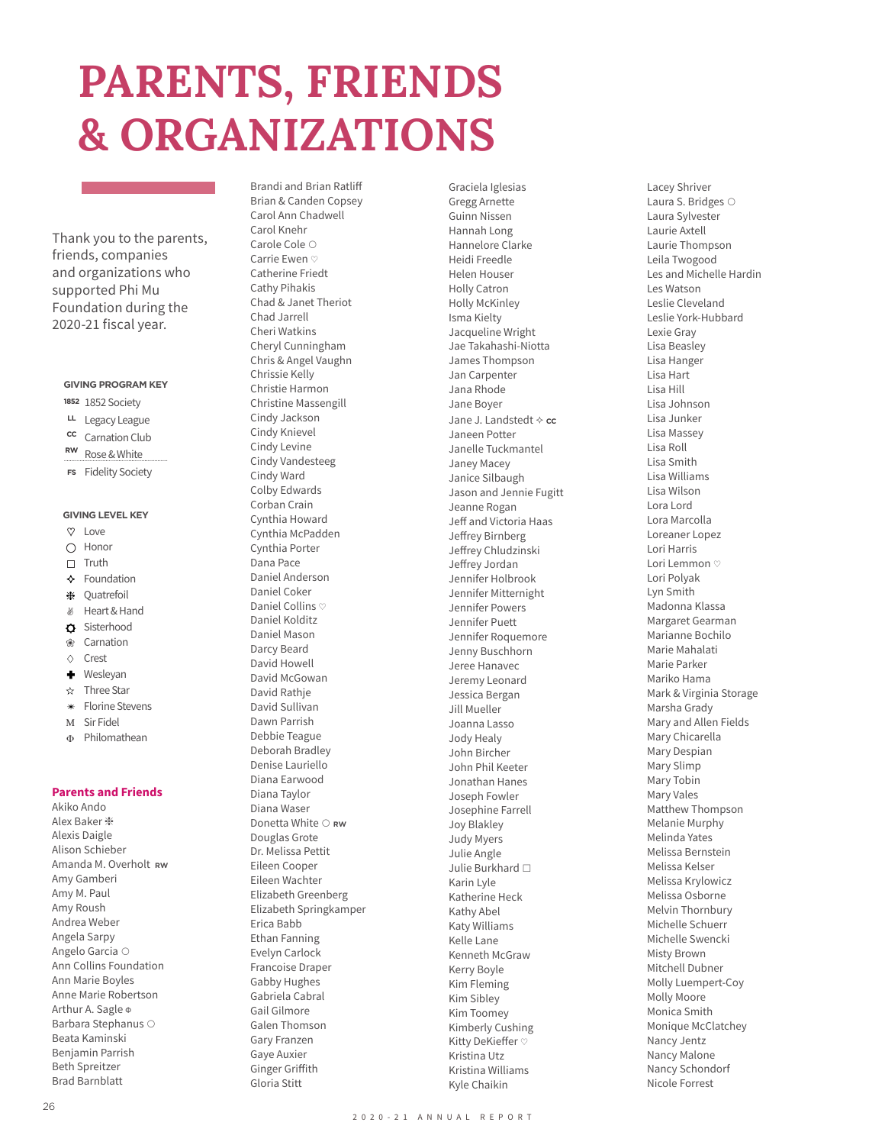# **PARENTS, FRIENDS & ORGANIZATIONS**

Thank you to the parents, friends, companies and organizations who supported Phi Mu Foundation during the 2020-21 fiscal year.

## **GIVING PROGRAM KEY**

- 1852 Society **1852**
- Legacy League **LL**
- Carnation Club **CC**
- Rose & White **RW**
- Fidelity Society **FS**

## **GIVING LEVEL KEY**

- $\infty$ Love
- Honor  $\bigcirc$
- Truth  $\Box$
- ❖ Foundation
- ₩ Quatrefoil
- $\mathcal{B}$ Heart & Hand
- $\Delta$ Sisterhood
- Carnation ❀  $\triangle$
- Crest
- ٠ Wesleyan  $\frac{1}{2}$ Three Star
- Florine Stevens  $\ast$
- M Sir Fidel
- $\mathbf{f}$ Philomathean

**Parents and Friends**

Akiko Ando Alex Baker ❈ Alexis Daigle Alison Schieber Amanda M. Overholt **RW** Amy Gamberi Amy M. Paul Amy Roush Andrea Weber Angela Sarpy Angelo Garcia ○ Ann Collins Foundation Ann Marie Boyles Anne Marie Robertson Arthur A. Sagle Φ Barbara Stephanus ○ Beata Kaminski Benjamin Parrish Beth Spreitzer Brad Barnblatt

Brandi and Brian Ratliff Brian & Canden Copsey Carol Ann Chadwell Carol Knehr Carole Cole ○ Carrie Ewen ♡ Catherine Friedt Cathy Pihakis Chad & Janet Theriot Chad Jarrell Cheri Watkins Cheryl Cunningham Chris & Angel Vaughn Chrissie Kelly Christie Harmon Christine Massengill Cindy Jackson Cindy Knievel Cindy Levine Cindy Vandesteeg Cindy Ward Colby Edwards Corban Crain Cynthia Howard Cynthia McPadden Cynthia Porter Dana Pace Daniel Anderson Daniel Coker Daniel Collins ♡ Daniel Kolditz Daniel Mason Darcy Beard David Howell David McGowan David Rathje David Sullivan Dawn Parrish Debbie Teague Deborah Bradley Denise Lauriello Diana Earwood Diana Taylor Diana Waser Donetta White ○ **RW** Douglas Grote Dr. Melissa Pettit Eileen Cooper Eileen Wachter Elizabeth Greenberg Elizabeth Springkamper Erica Babb Ethan Fanning Evelyn Carlock Francoise Draper Gabby Hughes Gabriela Cabral Gail Gilmore Galen Thomson Gary Franzen Gaye Auxier Ginger Griffith Gloria Stitt

Graciela Iglesias Gregg Arnette Guinn Nissen Hannah Long Hannelore Clarke Heidi Freedle Helen Houser Holly Catron Holly McKinley Isma Kielty Jacqueline Wright Jae Takahashi-Niotta James Thompson Jan Carpenter Jana Rhode Jane Boyer Jane J. Landstedt  $\diamond$  cc Janeen Potter Janelle Tuckmantel Janey Macey Janice Silbaugh Jason and Jennie Fugitt Jeanne Rogan Jeff and Victoria Haas Jeffrey Birnberg Jeffrey Chludzinski Jeffrey Jordan Jennifer Holbrook Jennifer Mitternight Jennifer Powers Jennifer Puett Jennifer Roquemore Jenny Buschhorn Jeree Hanavec Jeremy Leonard Jessica Bergan Jill Mueller Joanna Lasso Jody Healy John Bircher John Phil Keeter Jonathan Hanes Joseph Fowler Josephine Farrell Joy Blakley Judy Myers Julie Angle Julie Burkhard □ Karin Lyle Katherine Heck Kathy Abel Katy Williams Kelle Lane Kenneth McGraw Kerry Boyle Kim Fleming Kim Sibley Kim Toomey Kimberly Cushing Kitty DeKieffer ♡ Kristina Utz Kristina Williams Kyle Chaikin

Lacey Shriver Laura S. Bridges ○ Laura Sylvester Laurie Axtell Laurie Thompson Leila Twogood Les and Michelle Hardin Les Watson Leslie Cleveland Leslie York-Hubbard Lexie Gray Lisa Beasley Lisa Hanger Lisa Hart Lisa Hill Lisa Johnson Lisa Junker Lisa Massey Lisa Roll Lisa Smith Lisa Williams Lisa Wilson Lora Lord Lora Marcolla Loreaner Lopez Lori Harris Lori Lemmon ♡ Lori Polyak Lyn Smith Madonna Klassa Margaret Gearman Marianne Bochilo Marie Mahalati Marie Parker Mariko Hama Mark & Virginia Storage Marsha Grady Mary and Allen Fields Mary Chicarella Mary Despian Mary Slimp Mary Tobin Mary Vales Matthew Thompson Melanie Murphy Melinda Yates Melissa Bernstein Melissa Kelser Melissa Krylowicz Melissa Osborne Melvin Thornbury Michelle Schuerr Michelle Swencki Misty Brown Mitchell Dubner Molly Luempert-Coy Molly Moore Monica Smith Monique McClatchey Nancy Jentz Nancy Malone Nancy Schondorf Nicole Forrest